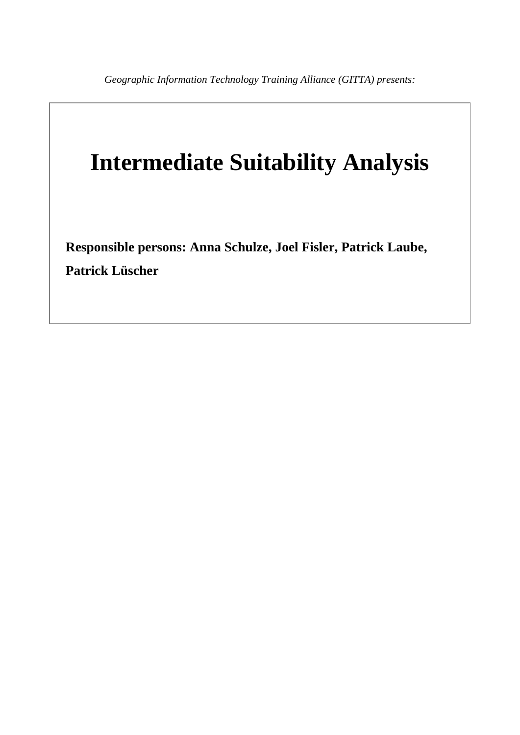# **Intermediate Suitability Analysis**

**Responsible persons: Anna Schulze, Joel Fisler, Patrick Laube, Patrick Lüscher**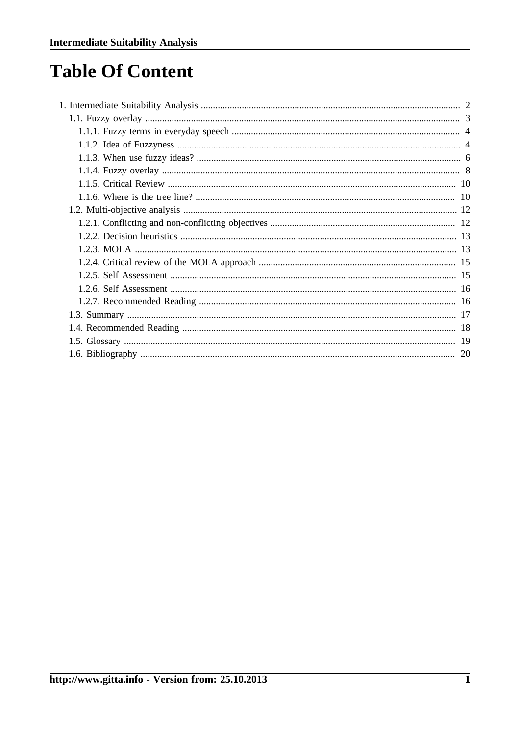## **Table Of Content**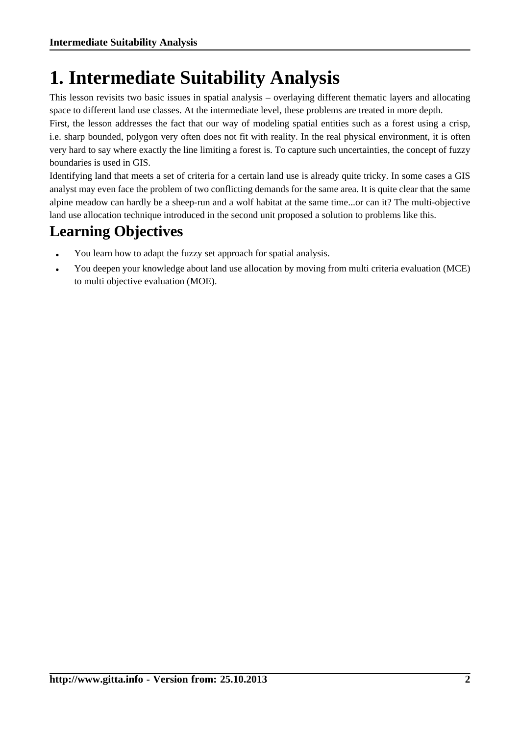## <span id="page-3-0"></span>**1. Intermediate Suitability Analysis**

This lesson revisits two basic issues in spatial analysis – overlaying different thematic layers and allocating space to different land use classes. At the intermediate level, these problems are treated in more depth.

First, the lesson addresses the fact that our way of modeling spatial entities such as a forest using a crisp, i.e. sharp bounded, polygon very often does not fit with reality. In the real physical environment, it is often very hard to say where exactly the line limiting a forest is. To capture such uncertainties, the concept of fuzzy boundaries is used in GIS.

Identifying land that meets a set of criteria for a certain land use is already quite tricky. In some cases a GIS analyst may even face the problem of two conflicting demands for the same area. It is quite clear that the same alpine meadow can hardly be a sheep-run and a wolf habitat at the same time...or can it? The multi-objective land use allocation technique introduced in the second unit proposed a solution to problems like this.

## **Learning Objectives**

- You learn how to adapt the fuzzy set approach for spatial analysis.
- You deepen your knowledge about land use allocation by moving from multi criteria evaluation (MCE) to multi objective evaluation (MOE).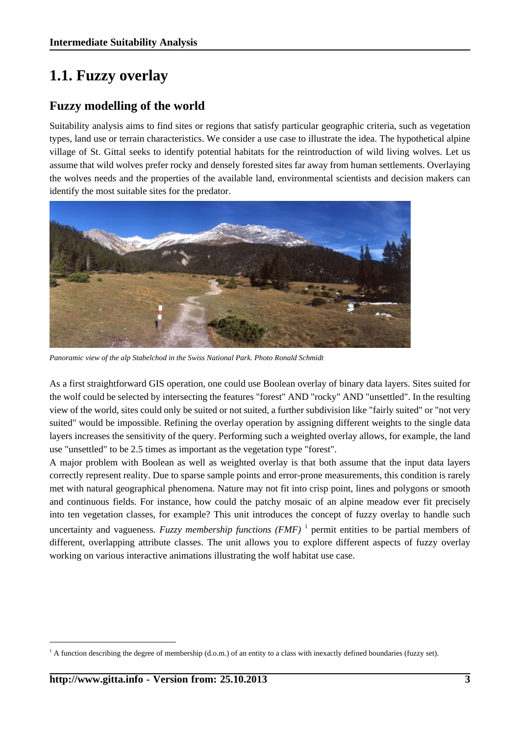## <span id="page-4-0"></span>**1.1. Fuzzy overlay**

## **Fuzzy modelling of the world**

Suitability analysis aims to find sites or regions that satisfy particular geographic criteria, such as vegetation types, land use or terrain characteristics. We consider a use case to illustrate the idea. The hypothetical alpine village of St. Gittal seeks to identify potential habitats for the reintroduction of wild living wolves. Let us assume that wild wolves prefer rocky and densely forested sites far away from human settlements. Overlaying the wolves needs and the properties of the available land, environmental scientists and decision makers can identify the most suitable sites for the predator.



*Panoramic view of the alp Stabelchod in the Swiss National Park. Photo Ronald Schmidt*

As a first straightforward GIS operation, one could use Boolean overlay of binary data layers. Sites suited for the wolf could be selected by intersecting the features "forest" AND "rocky" AND "unsettled". In the resulting view of the world, sites could only be suited or not suited, a further subdivision like "fairly suited" or "not very suited" would be impossible. Refining the overlay operation by assigning different weights to the single data layers increases the sensitivity of the query. Performing such a weighted overlay allows, for example, the land use "unsettled" to be 2.5 times as important as the vegetation type "forest".

A major problem with Boolean as well as weighted overlay is that both assume that the input data layers correctly represent reality. Due to sparse sample points and error-prone measurements, this condition is rarely met with natural geographical phenomena. Nature may not fit into crisp point, lines and polygons or smooth and continuous fields. For instance, how could the patchy mosaic of an alpine meadow ever fit precisely into ten vegetation classes, for example? This unit introduces the concept of fuzzy overlay to handle such uncertainty and vagueness. *Fuzzy membership functions* (*FMF*)<sup>1</sup> permit entities to be partial members of different, overlapping attribute classes. The unit allows you to explore different aspects of fuzzy overlay working on various interactive animations illustrating the wolf habitat use case.

<sup>&</sup>lt;sup>1</sup> A function describing the degree of membership (d.o.m.) of an entity to a class with inexactly defined boundaries (fuzzy set).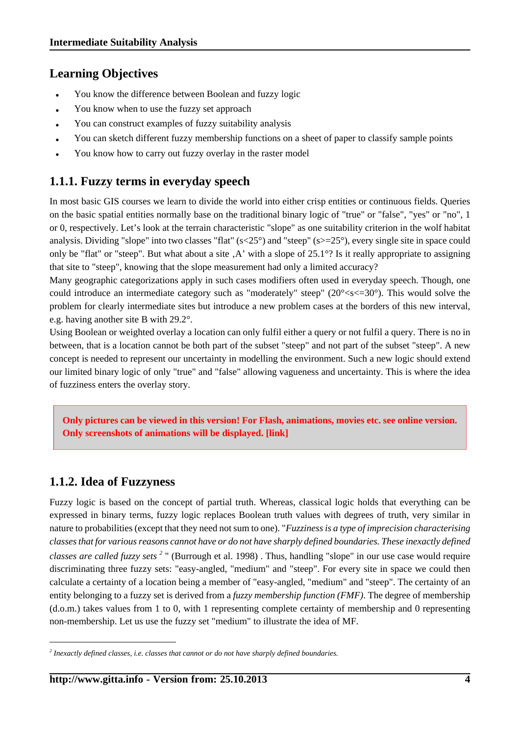### **Learning Objectives**

- You know the difference between Boolean and fuzzy logic
- You know when to use the fuzzy set approach
- You can construct examples of fuzzy suitability analysis
- You can sketch different fuzzy membership functions on a sheet of paper to classify sample points
- You know how to carry out fuzzy overlay in the raster model

### <span id="page-5-0"></span>**1.1.1. Fuzzy terms in everyday speech**

In most basic GIS courses we learn to divide the world into either crisp entities or continuous fields. Queries on the basic spatial entities normally base on the traditional binary logic of "true" or "false", "yes" or "no", 1 or 0, respectively. Let's look at the terrain characteristic "slope" as one suitability criterion in the wolf habitat analysis. Dividing "slope" into two classes "flat" ( $s \lt 25^\circ$ ) and "steep" ( $s \gt 25^\circ$ ), every single site in space could only be "flat" or "steep". But what about a site  $A'$  with a slope of 25.1°? Is it really appropriate to assigning that site to "steep", knowing that the slope measurement had only a limited accuracy?

Many geographic categorizations apply in such cases modifiers often used in everyday speech. Though, one could introduce an intermediate category such as "moderately" steep"  $(20^{\circ} < s < 30^{\circ})$ . This would solve the problem for clearly intermediate sites but introduce a new problem cases at the borders of this new interval, e.g. having another site B with 29.2°.

Using Boolean or weighted overlay a location can only fulfil either a query or not fulfil a query. There is no in between, that is a location cannot be both part of the subset "steep" and not part of the subset "steep". A new concept is needed to represent our uncertainty in modelling the environment. Such a new logic should extend our limited binary logic of only "true" and "false" allowing vagueness and uncertainty. This is where the idea of fuzziness enters the overlay story.

**Only pictures can be viewed in this version! For Flash, animations, movies etc. see online version. Only screenshots of animations will be displayed. [\[link\]](http://www.gitta.info/Suitabilityi/en/multimedia/slopes.swf)**

## <span id="page-5-1"></span>**1.1.2. Idea of Fuzzyness**

Fuzzy logic is based on the concept of partial truth. Whereas, classical logic holds that everything can be expressed in binary terms, fuzzy logic replaces Boolean truth values with degrees of truth, very similar in nature to probabilities (except that they need not sum to one). "*Fuzziness is a type of imprecision characterising classes that for various reasons cannot have or do not have sharply defined boundaries. These inexactly defined classes are called fuzzy sets <sup>2</sup>* " [\(Burrough et al.](#page-21-1) 1998) . Thus, handling "slope" in our use case would require discriminating three fuzzy sets: "easy-angled, "medium" and "steep". For every site in space we could then calculate a certainty of a location being a member of "easy-angled, "medium" and "steep". The certainty of an entity belonging to a fuzzy set is derived from a *fuzzy membership function (FMF)*. The degree of membership (d.o.m.) takes values from 1 to 0, with 1 representing complete certainty of membership and 0 representing non-membership. Let us use the fuzzy set "medium" to illustrate the idea of MF.

*<sup>2</sup> Inexactly defined classes, i.e. classes that cannot or do not have sharply defined boundaries.*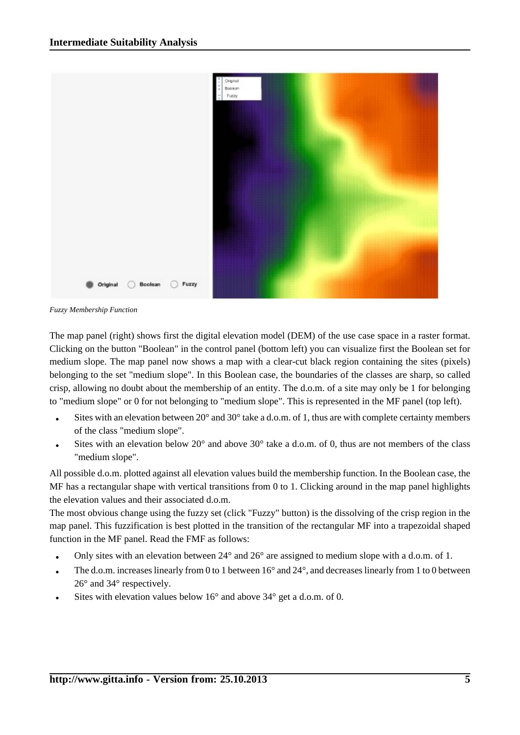

*Fuzzy Membership Function*

The map panel (right) shows first the digital elevation model (DEM) of the use case space in a raster format. Clicking on the button "Boolean" in the control panel (bottom left) you can visualize first the Boolean set for medium slope. The map panel now shows a map with a clear-cut black region containing the sites (pixels) belonging to the set "medium slope". In this Boolean case, the boundaries of the classes are sharp, so called crisp, allowing no doubt about the membership of an entity. The d.o.m. of a site may only be 1 for belonging to "medium slope" or 0 for not belonging to "medium slope". This is represented in the MF panel (top left).

- Sites with an elevation between  $20^{\circ}$  and  $30^{\circ}$  take a d.o.m. of 1, thus are with complete certainty members of the class "medium slope".
- Sites with an elevation below  $20^{\circ}$  and above  $30^{\circ}$  take a d.o.m. of 0, thus are not members of the class "medium slope".

All possible d.o.m. plotted against all elevation values build the membership function. In the Boolean case, the MF has a rectangular shape with vertical transitions from 0 to 1. Clicking around in the map panel highlights the elevation values and their associated d.o.m.

The most obvious change using the fuzzy set (click "Fuzzy" button) is the dissolving of the crisp region in the map panel. This fuzzification is best plotted in the transition of the rectangular MF into a trapezoidal shaped function in the MF panel. Read the FMF as follows:

- Only sites with an elevation between 24° and 26° are assigned to medium slope with a d.o.m. of 1.
- The d.o.m. increases linearly from 0 to 1 between 16° and 24°, and decreases linearly from 1 to 0 between 26° and 34° respectively.
- Sites with elevation values below  $16^{\circ}$  and above  $34^{\circ}$  get a d.o.m. of 0.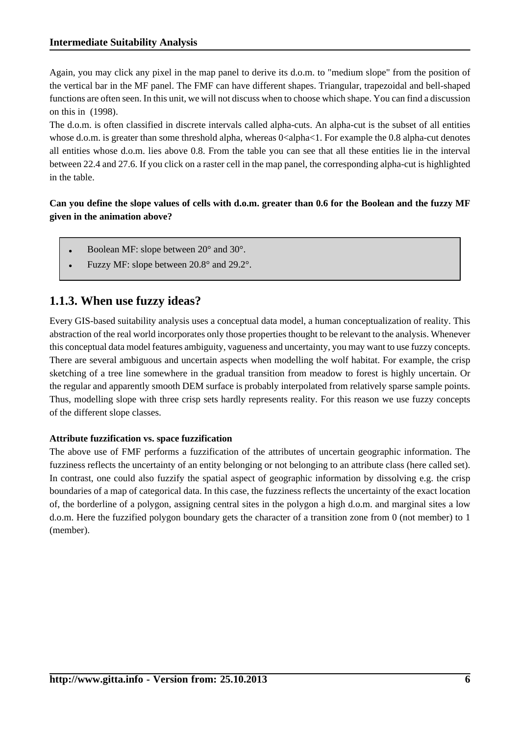Again, you may click any pixel in the map panel to derive its d.o.m. to "medium slope" from the position of the vertical bar in the MF panel. The FMF can have different shapes. Triangular, trapezoidal and bell-shaped functions are often seen. In this unit, we will not discuss when to choose which shape. You can find a discussion on this in ([1998\)](#page-21-1).

The d.o.m. is often classified in discrete intervals called alpha-cuts. An alpha-cut is the subset of all entities whose d.o.m. is greater than some threshold alpha, whereas 0<alpha<1. For example the 0.8 alpha-cut denotes all entities whose d.o.m. lies above 0.8. From the table you can see that all these entities lie in the interval between 22.4 and 27.6. If you click on a raster cell in the map panel, the corresponding alpha-cut is highlighted in the table.

#### **Can you define the slope values of cells with d.o.m. greater than 0.6 for the Boolean and the fuzzy MF given in the animation above?**

- Boolean MF: slope between 20° and 30°.
- Fuzzy MF: slope between 20.8° and 29.2°.

### <span id="page-7-0"></span>**1.1.3. When use fuzzy ideas?**

Every GIS-based suitability analysis uses a conceptual data model, a human conceptualization of reality. This abstraction of the real world incorporates only those properties thought to be relevant to the analysis. Whenever this conceptual data model features ambiguity, vagueness and uncertainty, you may want to use fuzzy concepts. There are several ambiguous and uncertain aspects when modelling the wolf habitat. For example, the crisp sketching of a tree line somewhere in the gradual transition from meadow to forest is highly uncertain. Or the regular and apparently smooth DEM surface is probably interpolated from relatively sparse sample points. Thus, modelling slope with three crisp sets hardly represents reality. For this reason we use fuzzy concepts of the different slope classes.

#### **Attribute fuzzification vs. space fuzzification**

The above use of FMF performs a fuzzification of the attributes of uncertain geographic information. The fuzziness reflects the uncertainty of an entity belonging or not belonging to an attribute class (here called set). In contrast, one could also fuzzify the spatial aspect of geographic information by dissolving e.g. the crisp boundaries of a map of categorical data. In this case, the fuzziness reflects the uncertainty of the exact location of, the borderline of a polygon, assigning central sites in the polygon a high d.o.m. and marginal sites a low d.o.m. Here the fuzzified polygon boundary gets the character of a transition zone from 0 (not member) to 1 (member).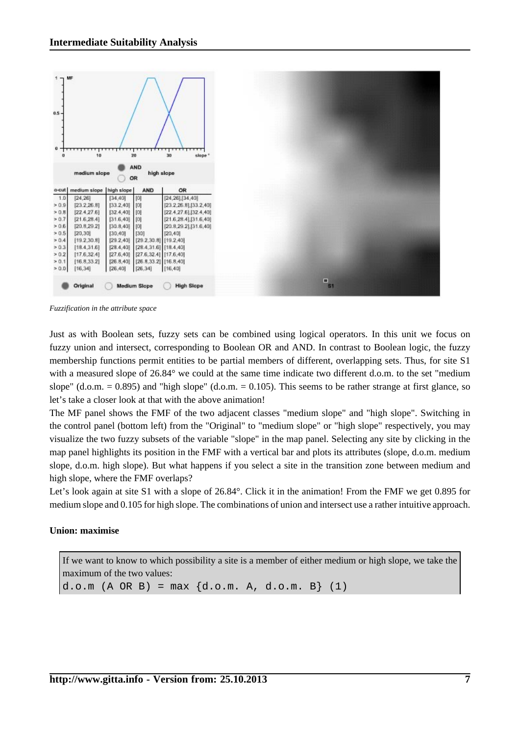

*Fuzzification in the attribute space*

Just as with Boolean sets, fuzzy sets can be combined using logical operators. In this unit we focus on fuzzy union and intersect, corresponding to Boolean OR and AND. In contrast to Boolean logic, the fuzzy membership functions permit entities to be partial members of different, overlapping sets. Thus, for site S1 with a measured slope of 26.84° we could at the same time indicate two different d.o.m. to the set "medium slope" (d.o.m.  $= 0.895$ ) and "high slope" (d.o.m.  $= 0.105$ ). This seems to be rather strange at first glance, so let's take a closer look at that with the above animation!

The MF panel shows the FMF of the two adjacent classes "medium slope" and "high slope". Switching in the control panel (bottom left) from the "Original" to "medium slope" or "high slope" respectively, you may visualize the two fuzzy subsets of the variable "slope" in the map panel. Selecting any site by clicking in the map panel highlights its position in the FMF with a vertical bar and plots its attributes (slope, d.o.m. medium slope, d.o.m. high slope). But what happens if you select a site in the transition zone between medium and high slope, where the FMF overlaps?

Let's look again at site S1 with a slope of 26.84°. Click it in the animation! From the FMF we get 0.895 for medium slope and 0.105 for high slope. The combinations of union and intersect use a rather intuitive approach.

#### **Union: maximise**

If we want to know to which possibility a site is a member of either medium or high slope, we take the maximum of the two values:

d.o.m  $(A \t{OR} B) = max \{d.o.m. A, d.o.m. B\}$  (1)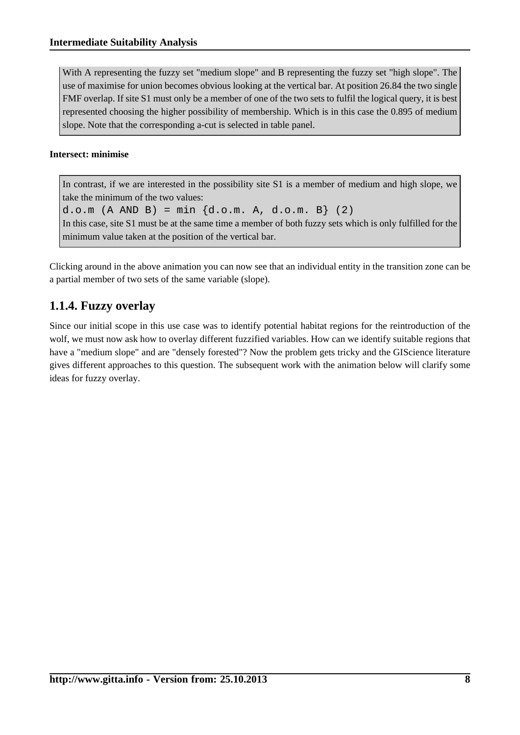With A representing the fuzzy set "medium slope" and B representing the fuzzy set "high slope". The use of maximise for union becomes obvious looking at the vertical bar. At position 26.84 the two single FMF overlap. If site S1 must only be a member of one of the two sets to fulfil the logical query, it is best represented choosing the higher possibility of membership. Which is in this case the 0.895 of medium slope. Note that the corresponding a-cut is selected in table panel.

#### **Intersect: minimise**

In contrast, if we are interested in the possibility site S1 is a member of medium and high slope, we take the minimum of the two values:

d.o.m  $(A \text{ AND } B) = \min \{d.o.m. A, d.o.m. B\}$  (2)

In this case, site S1 must be at the same time a member of both fuzzy sets which is only fulfilled for the minimum value taken at the position of the vertical bar.

Clicking around in the above animation you can now see that an individual entity in the transition zone can be a partial member of two sets of the same variable (slope).

## <span id="page-9-0"></span>**1.1.4. Fuzzy overlay**

Since our initial scope in this use case was to identify potential habitat regions for the reintroduction of the wolf, we must now ask how to overlay different fuzzified variables. How can we identify suitable regions that have a "medium slope" and are "densely forested"? Now the problem gets tricky and the GIScience literature gives different approaches to this question. The subsequent work with the animation below will clarify some ideas for fuzzy overlay.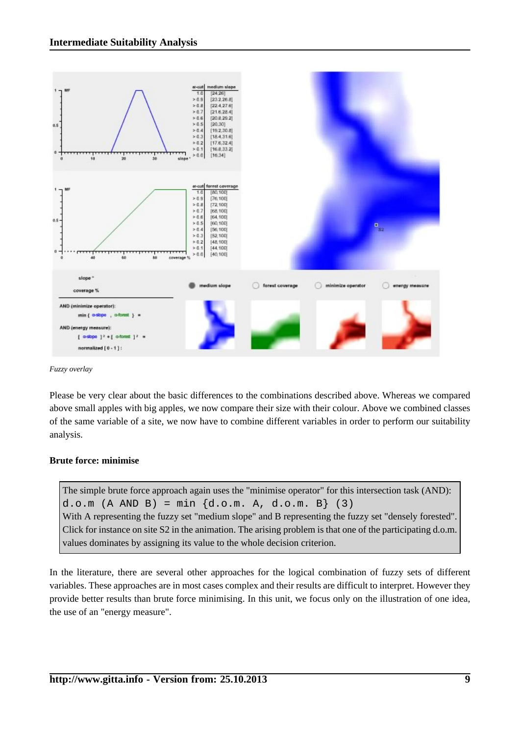

*Fuzzy overlay*

Please be very clear about the basic differences to the combinations described above. Whereas we compared above small apples with big apples, we now compare their size with their colour. Above we combined classes of the same variable of a site, we now have to combine different variables in order to perform our suitability analysis.

#### **Brute force: minimise**

The simple brute force approach again uses the "minimise operator" for this intersection task (AND): d.o.m  $(A \text{ AND } B) = \min \{d.o.m. A, d.o.m. B\}$  (3) With A representing the fuzzy set "medium slope" and B representing the fuzzy set "densely forested". Click for instance on site S2 in the animation. The arising problem is that one of the participating d.o.m. values dominates by assigning its value to the whole decision criterion.

In the literature, there are several other approaches for the logical combination of fuzzy sets of different variables. These approaches are in most cases complex and their results are difficult to interpret. However they provide better results than brute force minimising. In this unit, we focus only on the illustration of one idea, the use of an "energy measure".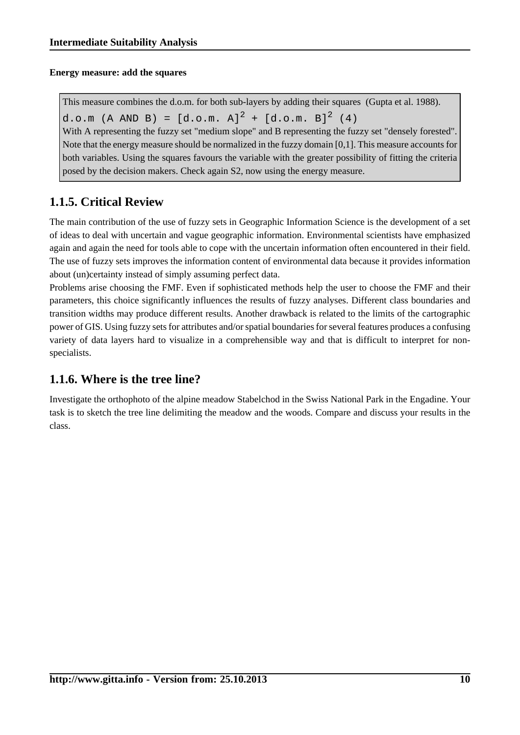#### **Energy measure: add the squares**

This measure combines the d.o.m. for both sub-layers by adding their squares [\(Gupta et al.](#page-21-2) 1988). d.o.m (A AND B) =  $[d.o.m. A]^{2} + [d.o.m. B]^{2}$  (4) With A representing the fuzzy set "medium slope" and B representing the fuzzy set "densely forested". Note that the energy measure should be normalized in the fuzzy domain [0,1]. This measure accounts for both variables. Using the squares favours the variable with the greater possibility of fitting the criteria posed by the decision makers. Check again S2, now using the energy measure.

## <span id="page-11-0"></span>**1.1.5. Critical Review**

The main contribution of the use of fuzzy sets in Geographic Information Science is the development of a set of ideas to deal with uncertain and vague geographic information. Environmental scientists have emphasized again and again the need for tools able to cope with the uncertain information often encountered in their field. The use of fuzzy sets improves the information content of environmental data because it provides information about (un)certainty instead of simply assuming perfect data.

Problems arise choosing the FMF. Even if sophisticated methods help the user to choose the FMF and their parameters, this choice significantly influences the results of fuzzy analyses. Different class boundaries and transition widths may produce different results. Another drawback is related to the limits of the cartographic power of GIS. Using fuzzy sets for attributes and/or spatial boundaries for several features produces a confusing variety of data layers hard to visualize in a comprehensible way and that is difficult to interpret for nonspecialists.

## <span id="page-11-1"></span>**1.1.6. Where is the tree line?**

Investigate the orthophoto of the alpine meadow Stabelchod in the Swiss National Park in the Engadine. Your task is to sketch the tree line delimiting the meadow and the woods. Compare and discuss your results in the class.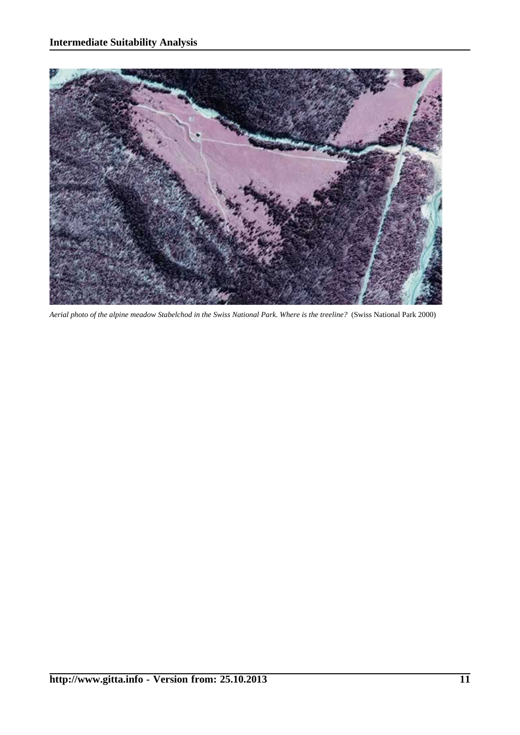

*Aerial photo of the alpine meadow Stabelchod in the Swiss National Park. Where is the treeline?* [\(Swiss National Park](#page-21-3) 2000)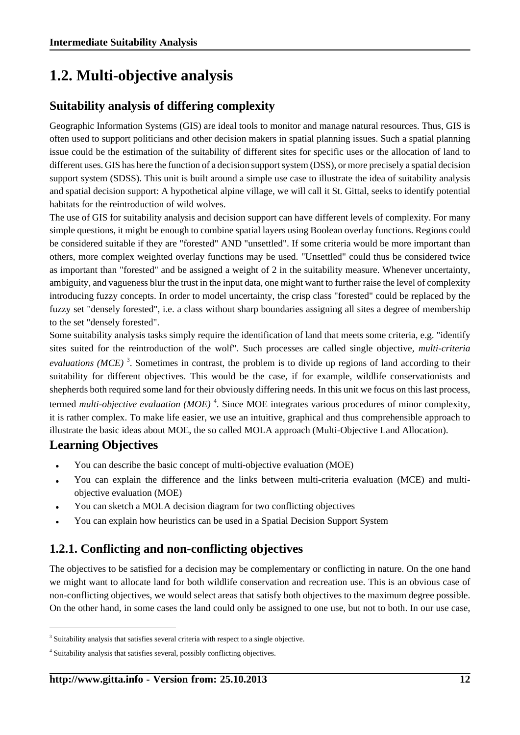## <span id="page-13-0"></span>**1.2. Multi-objective analysis**

## **Suitability analysis of differing complexity**

Geographic Information Systems (GIS) are ideal tools to monitor and manage natural resources. Thus, GIS is often used to support politicians and other decision makers in spatial planning issues. Such a spatial planning issue could be the estimation of the suitability of different sites for specific uses or the allocation of land to different uses. GIS has here the function of a decision support system (DSS), or more precisely a spatial decision support system (SDSS). This unit is built around a simple use case to illustrate the idea of suitability analysis and spatial decision support: A hypothetical alpine village, we will call it St. Gittal, seeks to identify potential habitats for the reintroduction of wild wolves.

The use of GIS for suitability analysis and decision support can have different levels of complexity. For many simple questions, it might be enough to combine spatial layers using Boolean overlay functions. Regions could be considered suitable if they are "forested" AND "unsettled". If some criteria would be more important than others, more complex weighted overlay functions may be used. "Unsettled" could thus be considered twice as important than "forested" and be assigned a weight of 2 in the suitability measure. Whenever uncertainty, ambiguity, and vagueness blur the trust in the input data, one might want to further raise the level of complexity introducing fuzzy concepts. In order to model uncertainty, the crisp class "forested" could be replaced by the fuzzy set "densely forested", i.e. a class without sharp boundaries assigning all sites a degree of membership to the set "densely forested".

Some suitability analysis tasks simply require the identification of land that meets some criteria, e.g. "identify sites suited for the reintroduction of the wolf". Such processes are called single objective, *multi-criteria* evaluations (MCE)<sup>3</sup>. Sometimes in contrast, the problem is to divide up regions of land according to their suitability for different objectives. This would be the case, if for example, wildlife conservationists and shepherds both required some land for their obviously differing needs. In this unit we focus on this last process, termed *multi-objective evaluation (MOE)* <sup>4</sup> . Since MOE integrates various procedures of minor complexity, it is rather complex. To make life easier, we use an intuitive, graphical and thus comprehensible approach to illustrate the basic ideas about MOE, the so called MOLA approach (Multi-Objective Land Allocation).

## **Learning Objectives**

- You can describe the basic concept of multi-objective evaluation (MOE)
- You can explain the difference and the links between multi-criteria evaluation (MCE) and multiobjective evaluation (MOE)
- You can sketch a MOLA decision diagram for two conflicting objectives
- You can explain how heuristics can be used in a Spatial Decision Support System

## <span id="page-13-1"></span>**1.2.1. Conflicting and non-conflicting objectives**

The objectives to be satisfied for a decision may be complementary or conflicting in nature. On the one hand we might want to allocate land for both wildlife conservation and recreation use. This is an obvious case of non-conflicting objectives, we would select areas that satisfy both objectives to the maximum degree possible. On the other hand, in some cases the land could only be assigned to one use, but not to both. In our use case,

<sup>&</sup>lt;sup>3</sup> Suitability analysis that satisfies several criteria with respect to a single objective.

<sup>&</sup>lt;sup>4</sup> Suitability analysis that satisfies several, possibly conflicting objectives.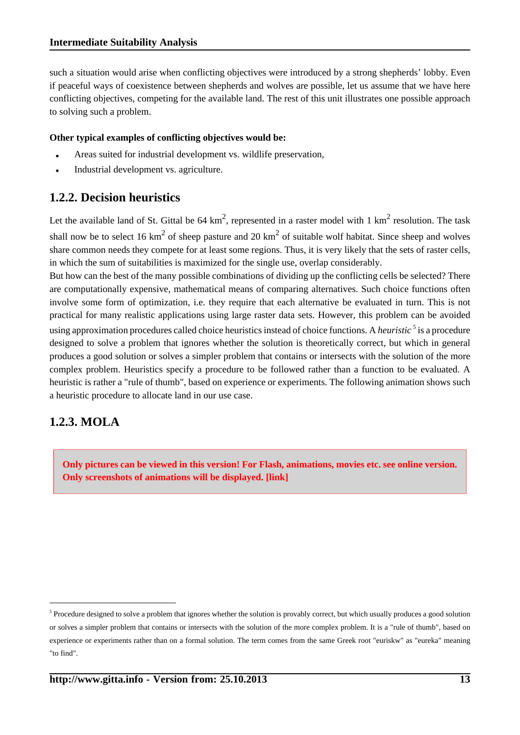such a situation would arise when conflicting objectives were introduced by a strong shepherds' lobby. Even if peaceful ways of coexistence between shepherds and wolves are possible, let us assume that we have here conflicting objectives, competing for the available land. The rest of this unit illustrates one possible approach to solving such a problem.

#### **Other typical examples of conflicting objectives would be:**

- Areas suited for industrial development vs. wildlife preservation,
- Industrial development vs. agriculture.

### <span id="page-14-0"></span>**1.2.2. Decision heuristics**

Let the available land of St. Gittal be 64  $km^2$ , represented in a raster model with 1  $km^2$  resolution. The task shall now be to select 16 km<sup>2</sup> of sheep pasture and 20 km<sup>2</sup> of suitable wolf habitat. Since sheep and wolves share common needs they compete for at least some regions. Thus, it is very likely that the sets of raster cells, in which the sum of suitabilities is maximized for the single use, overlap considerably.

But how can the best of the many possible combinations of dividing up the conflicting cells be selected? There are computationally expensive, mathematical means of comparing alternatives. Such choice functions often involve some form of optimization, i.e. they require that each alternative be evaluated in turn. This is not practical for many realistic applications using large raster data sets. However, this problem can be avoided using approximation procedures called choice heuristics instead of choice functions. A *heuristic* <sup>5</sup> is a procedure designed to solve a problem that ignores whether the solution is theoretically correct, but which in general produces a good solution or solves a simpler problem that contains or intersects with the solution of the more complex problem. Heuristics specify a procedure to be followed rather than a function to be evaluated. A heuristic is rather a "rule of thumb", based on experience or experiments. The following animation shows such a heuristic procedure to allocate land in our use case.

#### <span id="page-14-1"></span>**1.2.3. MOLA**

**Only pictures can be viewed in this version! For Flash, animations, movies etc. see online version. Only screenshots of animations will be displayed. [\[link\]](http://www.gitta.info/Suitabilityi/en/multimedia/mola.swf)**

 $<sup>5</sup>$  Procedure designed to solve a problem that ignores whether the solution is provably correct, but which usually produces a good solution</sup> or solves a simpler problem that contains or intersects with the solution of the more complex problem. It is a "rule of thumb", based on experience or experiments rather than on a formal solution. The term comes from the same Greek root "euriskw" as "eureka" meaning "to find".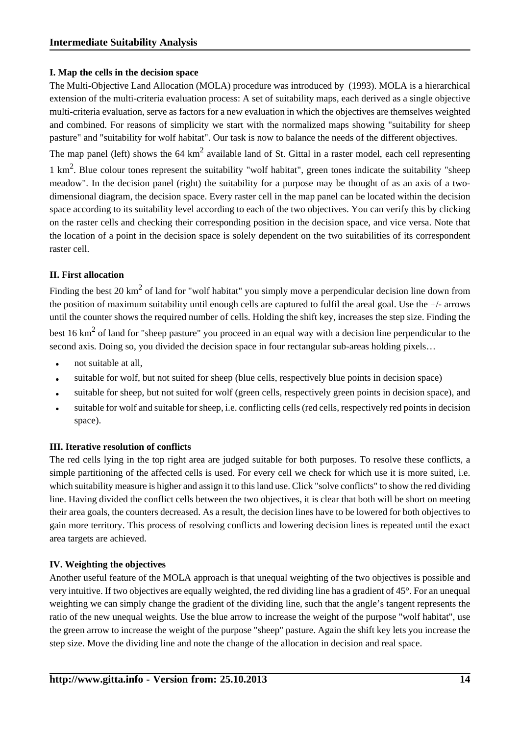#### **I. Map the cells in the decision space**

The Multi-Objective Land Allocation (MOLA) procedure was introduced by ([1993\)](#page-21-4). MOLA is a hierarchical extension of the multi-criteria evaluation process: A set of suitability maps, each derived as a single objective multi-criteria evaluation, serve as factors for a new evaluation in which the objectives are themselves weighted and combined. For reasons of simplicity we start with the normalized maps showing "suitability for sheep pasture" and "suitability for wolf habitat". Our task is now to balance the needs of the different objectives.

The map panel (left) shows the 64  $km^2$  available land of St. Gittal in a raster model, each cell representing 1 km<sup>2</sup>. Blue colour tones represent the suitability "wolf habitat", green tones indicate the suitability "sheep meadow". In the decision panel (right) the suitability for a purpose may be thought of as an axis of a twodimensional diagram, the decision space. Every raster cell in the map panel can be located within the decision space according to its suitability level according to each of the two objectives. You can verify this by clicking on the raster cells and checking their corresponding position in the decision space, and vice versa. Note that the location of a point in the decision space is solely dependent on the two suitabilities of its correspondent raster cell.

#### **II. First allocation**

Finding the best 20 km<sup>2</sup> of land for "wolf habitat" you simply move a perpendicular decision line down from the position of maximum suitability until enough cells are captured to fulfil the areal goal. Use the +/- arrows until the counter shows the required number of cells. Holding the shift key, increases the step size. Finding the

best 16  $\text{km}^2$  of land for "sheep pasture" you proceed in an equal way with a decision line perpendicular to the second axis. Doing so, you divided the decision space in four rectangular sub-areas holding pixels...

- not suitable at all.
- suitable for wolf, but not suited for sheep (blue cells, respectively blue points in decision space)
- suitable for sheep, but not suited for wolf (green cells, respectively green points in decision space), and
- suitable for wolf and suitable for sheep, i.e. conflicting cells (red cells, respectively red points in decision space).

#### **III. Iterative resolution of conflicts**

The red cells lying in the top right area are judged suitable for both purposes. To resolve these conflicts, a simple partitioning of the affected cells is used. For every cell we check for which use it is more suited, i.e. which suitability measure is higher and assign it to this land use. Click "solve conflicts" to show the red dividing line. Having divided the conflict cells between the two objectives, it is clear that both will be short on meeting their area goals, the counters decreased. As a result, the decision lines have to be lowered for both objectives to gain more territory. This process of resolving conflicts and lowering decision lines is repeated until the exact area targets are achieved.

#### **IV. Weighting the objectives**

Another useful feature of the MOLA approach is that unequal weighting of the two objectives is possible and very intuitive. If two objectives are equally weighted, the red dividing line has a gradient of 45°. For an unequal weighting we can simply change the gradient of the dividing line, such that the angle's tangent represents the ratio of the new unequal weights. Use the blue arrow to increase the weight of the purpose "wolf habitat", use the green arrow to increase the weight of the purpose "sheep" pasture. Again the shift key lets you increase the step size. Move the dividing line and note the change of the allocation in decision and real space.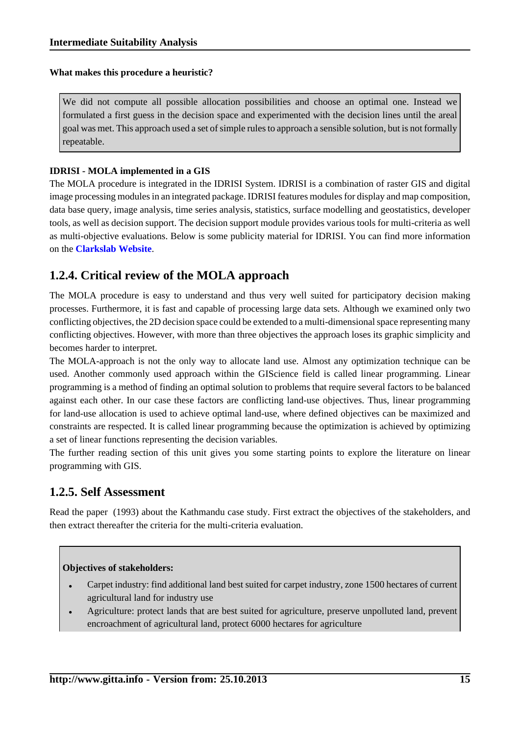#### **What makes this procedure a heuristic?**

We did not compute all possible allocation possibilities and choose an optimal one. Instead we formulated a first guess in the decision space and experimented with the decision lines until the areal goal was met. This approach used a set of simple rules to approach a sensible solution, but is not formally repeatable.

#### **IDRISI - MOLA implemented in a GIS**

The MOLA procedure is integrated in the IDRISI System. IDRISI is a combination of raster GIS and digital image processing modules in an integrated package. IDRISI features modules for display and map composition, data base query, image analysis, time series analysis, statistics, surface modelling and geostatistics, developer tools, as well as decision support. The decision support module provides various tools for multi-criteria as well as multi-objective evaluations. Below is some publicity material for IDRISI. You can find more information on the **[Clarkslab Website](http://www.clarklabs.org/)**.

### <span id="page-16-0"></span>**1.2.4. Critical review of the MOLA approach**

The MOLA procedure is easy to understand and thus very well suited for participatory decision making processes. Furthermore, it is fast and capable of processing large data sets. Although we examined only two conflicting objectives, the 2D decision space could be extended to a multi-dimensional space representing many conflicting objectives. However, with more than three objectives the approach loses its graphic simplicity and becomes harder to interpret.

The MOLA-approach is not the only way to allocate land use. Almost any optimization technique can be used. Another commonly used approach within the GIScience field is called linear programming. Linear programming is a method of finding an optimal solution to problems that require several factors to be balanced against each other. In our case these factors are conflicting land-use objectives. Thus, linear programming for land-use allocation is used to achieve optimal land-use, where defined objectives can be maximized and constraints are respected. It is called linear programming because the optimization is achieved by optimizing a set of linear functions representing the decision variables.

The further reading section of this unit gives you some starting points to explore the literature on linear programming with GIS.

#### <span id="page-16-1"></span>**1.2.5. Self Assessment**

Read the paper [\(1993](#page-21-4)) about the Kathmandu case study. First extract the objectives of the stakeholders, and then extract thereafter the criteria for the multi-criteria evaluation.

#### **Objectives of stakeholders:**

- Carpet industry: find additional land best suited for carpet industry, zone 1500 hectares of current agricultural land for industry use
- Agriculture: protect lands that are best suited for agriculture, preserve unpolluted land, prevent encroachment of agricultural land, protect 6000 hectares for agriculture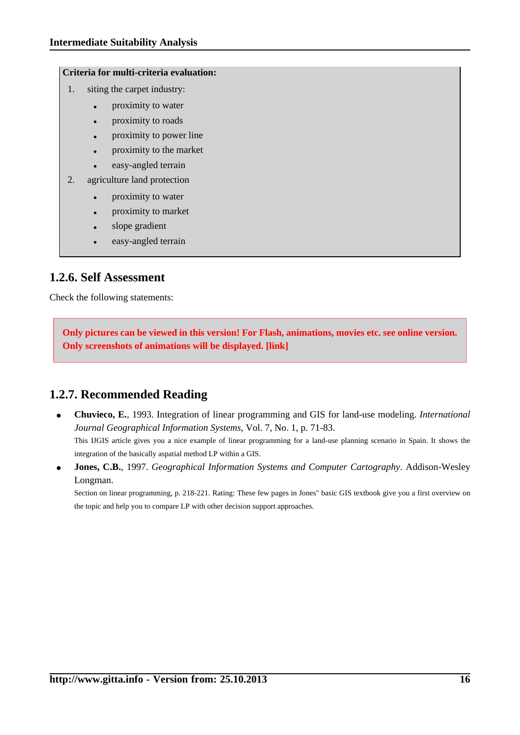#### **Criteria for multi-criteria evaluation:**

- 1. siting the carpet industry:
	- proximity to water
	- proximity to roads
	- proximity to power line
	- proximity to the market
	- easy-angled terrain
- 2. agriculture land protection
	- proximity to water
	- proximity to market
	- slope gradient
	- easy-angled terrain

#### <span id="page-17-0"></span>**1.2.6. Self Assessment**

Check the following statements:

**Only pictures can be viewed in this version! For Flash, animations, movies etc. see online version. Only screenshots of animations will be displayed. [\[link\]](http://www.gitta.info/Suitabilityi/en/multimedia/unit2_selfassessment.swf)**

### <span id="page-17-1"></span>**1.2.7. Recommended Reading**

- **Chuvieco, E.**, 1993. Integration of linear programming and GIS for land-use modeling. *International Journal Geographical Information Systems*, Vol. 7, No. 1, p. 71-83. This IJGIS article gives you a nice example of linear programming for a land-use planning scenario in Spain. It shows the integration of the basically aspatial method LP within a GIS.
- **Jones, C.B.**, 1997. *Geographical Information Systems and Computer Cartography*. Addison-Wesley Longman.

Section on linear programming, p. 218-221. Rating: These few pages in Jones" basic GIS textbook give you a first overview on the topic and help you to compare LP with other decision support approaches.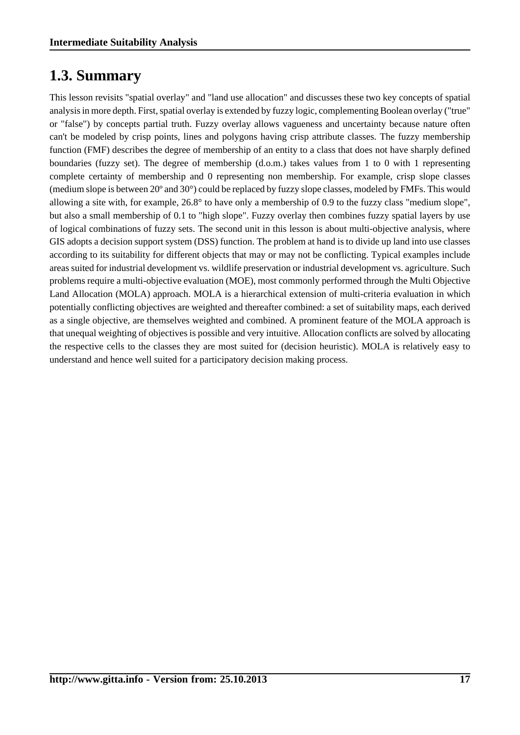## <span id="page-18-0"></span>**1.3. Summary**

This lesson revisits "spatial overlay" and "land use allocation" and discusses these two key concepts of spatial analysis in more depth. First, spatial overlay is extended by fuzzy logic, complementing Boolean overlay ("true" or "false") by concepts partial truth. Fuzzy overlay allows vagueness and uncertainty because nature often can't be modeled by crisp points, lines and polygons having crisp attribute classes. The fuzzy membership function (FMF) describes the degree of membership of an entity to a class that does not have sharply defined boundaries (fuzzy set). The degree of membership (d.o.m.) takes values from 1 to 0 with 1 representing complete certainty of membership and 0 representing non membership. For example, crisp slope classes (medium slope is between 20º and 30°) could be replaced by fuzzy slope classes, modeled by FMFs. This would allowing a site with, for example, 26.8° to have only a membership of 0.9 to the fuzzy class "medium slope", but also a small membership of 0.1 to "high slope". Fuzzy overlay then combines fuzzy spatial layers by use of logical combinations of fuzzy sets. The second unit in this lesson is about multi-objective analysis, where GIS adopts a decision support system (DSS) function. The problem at hand is to divide up land into use classes according to its suitability for different objects that may or may not be conflicting. Typical examples include areas suited for industrial development vs. wildlife preservation or industrial development vs. agriculture. Such problems require a multi-objective evaluation (MOE), most commonly performed through the Multi Objective Land Allocation (MOLA) approach. MOLA is a hierarchical extension of multi-criteria evaluation in which potentially conflicting objectives are weighted and thereafter combined: a set of suitability maps, each derived as a single objective, are themselves weighted and combined. A prominent feature of the MOLA approach is that unequal weighting of objectives is possible and very intuitive. Allocation conflicts are solved by allocating the respective cells to the classes they are most suited for (decision heuristic). MOLA is relatively easy to understand and hence well suited for a participatory decision making process.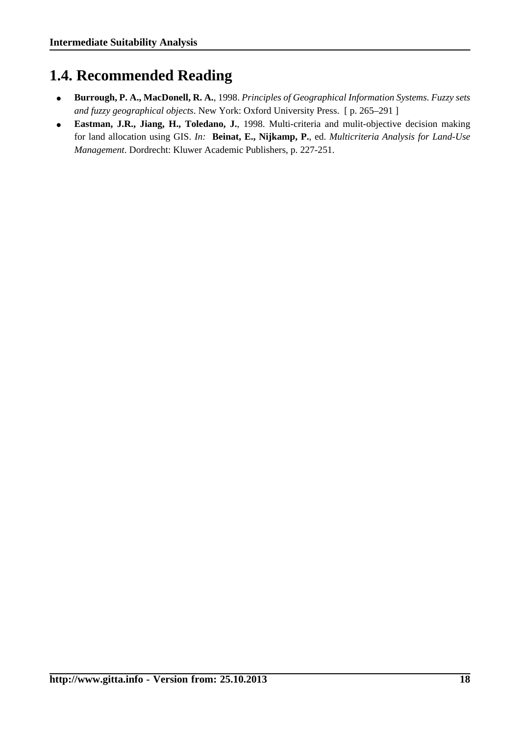## <span id="page-19-0"></span>**1.4. Recommended Reading**

- **Burrough, P. A., MacDonell, R. A.**, 1998. *Principles of Geographical Information Systems. Fuzzy sets and fuzzy geographical objects*. New York: Oxford University Press. [ p. 265–291 ]
- **Eastman, J.R., Jiang, H., Toledano, J.**, 1998. Multi-criteria and mulit-objective decision making for land allocation using GIS. *In:* **Beinat, E., Nijkamp, P.**, ed. *Multicriteria Analysis for Land-Use Management*. Dordrecht: Kluwer Academic Publishers, p. 227-251.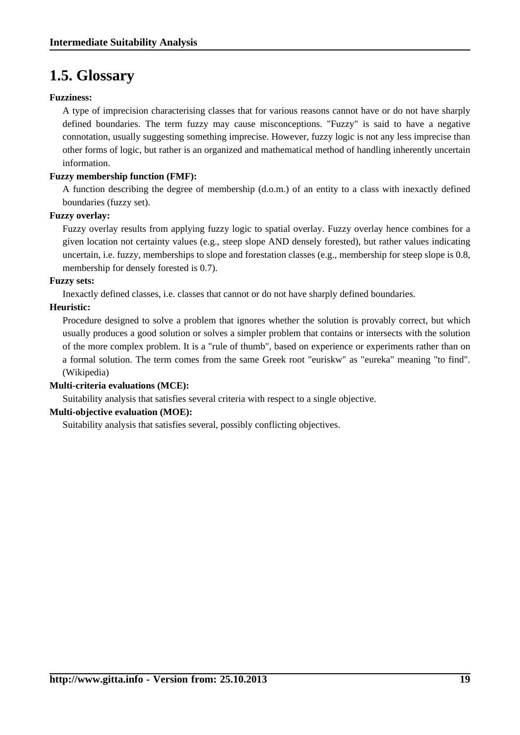## <span id="page-20-0"></span>**1.5. Glossary**

#### **Fuzziness:**

A type of imprecision characterising classes that for various reasons cannot have or do not have sharply defined boundaries. The term fuzzy may cause misconceptions. "Fuzzy" is said to have a negative connotation, usually suggesting something imprecise. However, fuzzy logic is not any less imprecise than other forms of logic, but rather is an organized and mathematical method of handling inherently uncertain information.

#### **Fuzzy membership function (FMF):**

A function describing the degree of membership (d.o.m.) of an entity to a class with inexactly defined boundaries (fuzzy set).

#### **Fuzzy overlay:**

Fuzzy overlay results from applying fuzzy logic to spatial overlay. Fuzzy overlay hence combines for a given location not certainty values (e.g., steep slope AND densely forested), but rather values indicating uncertain, i.e. fuzzy, memberships to slope and forestation classes (e.g., membership for steep slope is 0.8, membership for densely forested is 0.7).

#### **Fuzzy sets:**

Inexactly defined classes, i.e. classes that cannot or do not have sharply defined boundaries.

#### **Heuristic:**

Procedure designed to solve a problem that ignores whether the solution is provably correct, but which usually produces a good solution or solves a simpler problem that contains or intersects with the solution of the more complex problem. It is a "rule of thumb", based on experience or experiments rather than on a formal solution. The term comes from the same Greek root "euriskw" as "eureka" meaning "to find". [\(Wikipedia](#page-21-5))

#### **Multi-criteria evaluations (MCE):**

Suitability analysis that satisfies several criteria with respect to a single objective.

#### **Multi-objective evaluation (MOE):**

Suitability analysis that satisfies several, possibly conflicting objectives.